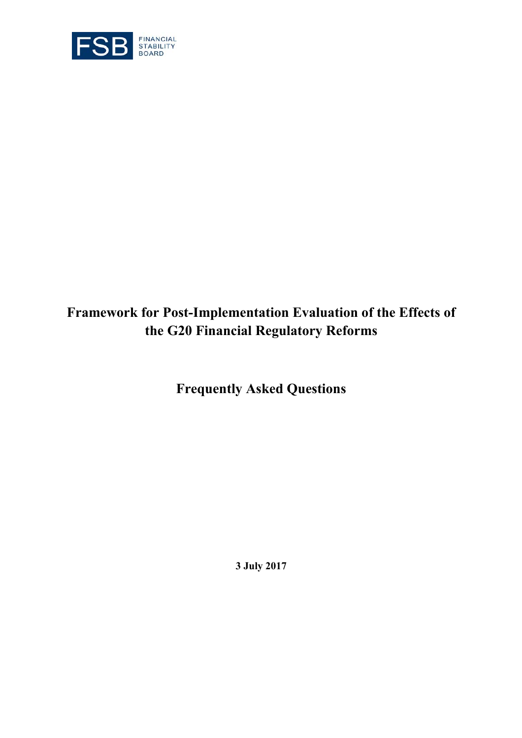

# **Framework for Post-Implementation Evaluation of the Effects of the G20 Financial Regulatory Reforms**

**Frequently Asked Questions**

**3 July 2017**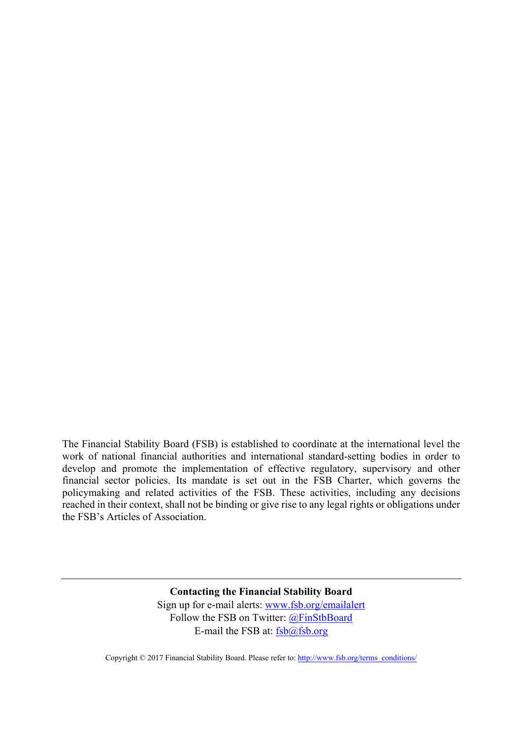The Financial Stability Board (FSB) is established to coordinate at the international level the work of national financial authorities and international standard-setting bodies in order to develop and promote the implementation of effective regulatory, supervisory and other financial sector policies. Its mandate is set out in the FSB Charter, which governs the policymaking and related activities of the FSB. These activities, including any decisions reached in their context, shall not be binding or give rise to any legal rights or obligations under the FSB's Articles of Association.

> **Contacting the Financial Stability Board**  Sign up for e-mail alerts: www.fsb.org/emailalert Follow the FSB on Twitter: @FinStbBoard E-mail the FSB at:  $fsb@fsb.org$

Copyright © 2017 Financial Stability Board. Please refer to: http://www.fsb.org/terms\_conditions/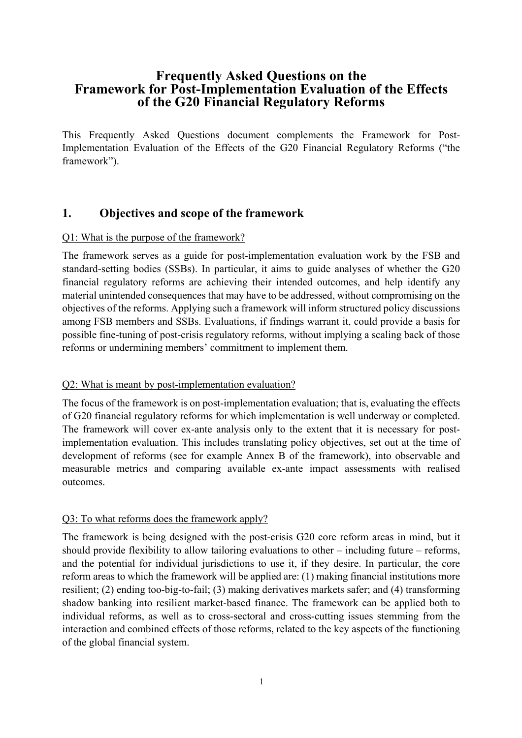# **Frequently Asked Questions on the Framework for Post-Implementation Evaluation of the Effects of the G20 Financial Regulatory Reforms**

This Frequently Asked Questions document complements the Framework for Post-Implementation Evaluation of the Effects of the G20 Financial Regulatory Reforms ("the framework").

# **1. Objectives and scope of the framework**

#### Q1: What is the purpose of the framework?

The framework serves as a guide for post-implementation evaluation work by the FSB and standard-setting bodies (SSBs). In particular, it aims to guide analyses of whether the G20 financial regulatory reforms are achieving their intended outcomes, and help identify any material unintended consequences that may have to be addressed, without compromising on the objectives of the reforms. Applying such a framework will inform structured policy discussions among FSB members and SSBs. Evaluations, if findings warrant it, could provide a basis for possible fine-tuning of post-crisis regulatory reforms, without implying a scaling back of those reforms or undermining members' commitment to implement them.

## Q2: What is meant by post-implementation evaluation?

The focus of the framework is on post-implementation evaluation; that is, evaluating the effects of G20 financial regulatory reforms for which implementation is well underway or completed. The framework will cover ex-ante analysis only to the extent that it is necessary for postimplementation evaluation. This includes translating policy objectives, set out at the time of development of reforms (see for example Annex B of the framework), into observable and measurable metrics and comparing available ex-ante impact assessments with realised outcomes.

## Q3: To what reforms does the framework apply?

The framework is being designed with the post-crisis G20 core reform areas in mind, but it should provide flexibility to allow tailoring evaluations to other – including future – reforms, and the potential for individual jurisdictions to use it, if they desire. In particular, the core reform areas to which the framework will be applied are: (1) making financial institutions more resilient; (2) ending too-big-to-fail; (3) making derivatives markets safer; and (4) transforming shadow banking into resilient market-based finance. The framework can be applied both to individual reforms, as well as to cross-sectoral and cross-cutting issues stemming from the interaction and combined effects of those reforms, related to the key aspects of the functioning of the global financial system.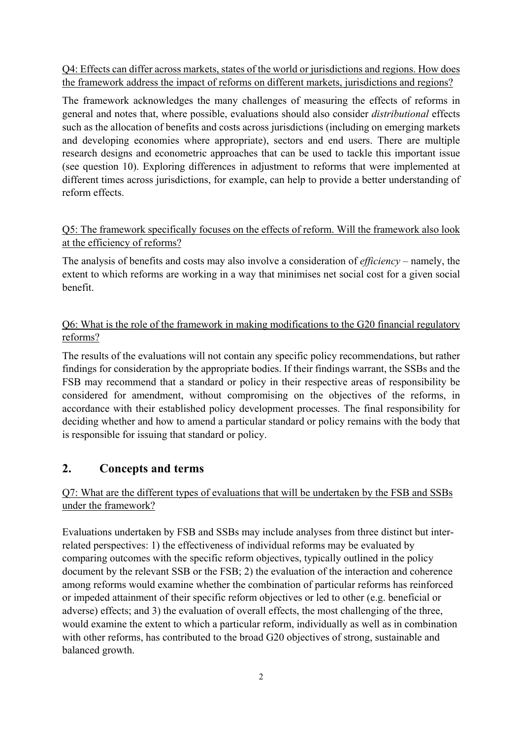Q4: Effects can differ across markets, states of the world or jurisdictions and regions. How does the framework address the impact of reforms on different markets, jurisdictions and regions?

The framework acknowledges the many challenges of measuring the effects of reforms in general and notes that, where possible, evaluations should also consider *distributional* effects such as the allocation of benefits and costs across jurisdictions (including on emerging markets and developing economies where appropriate), sectors and end users. There are multiple research designs and econometric approaches that can be used to tackle this important issue (see question 10). Exploring differences in adjustment to reforms that were implemented at different times across jurisdictions, for example, can help to provide a better understanding of reform effects.

## Q5: The framework specifically focuses on the effects of reform. Will the framework also look at the efficiency of reforms?

The analysis of benefits and costs may also involve a consideration of *efficiency* – namely, the extent to which reforms are working in a way that minimises net social cost for a given social benefit.

## Q6: What is the role of the framework in making modifications to the G20 financial regulatory reforms?

The results of the evaluations will not contain any specific policy recommendations, but rather findings for consideration by the appropriate bodies. If their findings warrant, the SSBs and the FSB may recommend that a standard or policy in their respective areas of responsibility be considered for amendment, without compromising on the objectives of the reforms, in accordance with their established policy development processes. The final responsibility for deciding whether and how to amend a particular standard or policy remains with the body that is responsible for issuing that standard or policy.

# **2. Concepts and terms**

## Q7: What are the different types of evaluations that will be undertaken by the FSB and SSBs under the framework?

Evaluations undertaken by FSB and SSBs may include analyses from three distinct but interrelated perspectives: 1) the effectiveness of individual reforms may be evaluated by comparing outcomes with the specific reform objectives, typically outlined in the policy document by the relevant SSB or the FSB; 2) the evaluation of the interaction and coherence among reforms would examine whether the combination of particular reforms has reinforced or impeded attainment of their specific reform objectives or led to other (e.g. beneficial or adverse) effects; and 3) the evaluation of overall effects, the most challenging of the three, would examine the extent to which a particular reform, individually as well as in combination with other reforms, has contributed to the broad G20 objectives of strong, sustainable and balanced growth.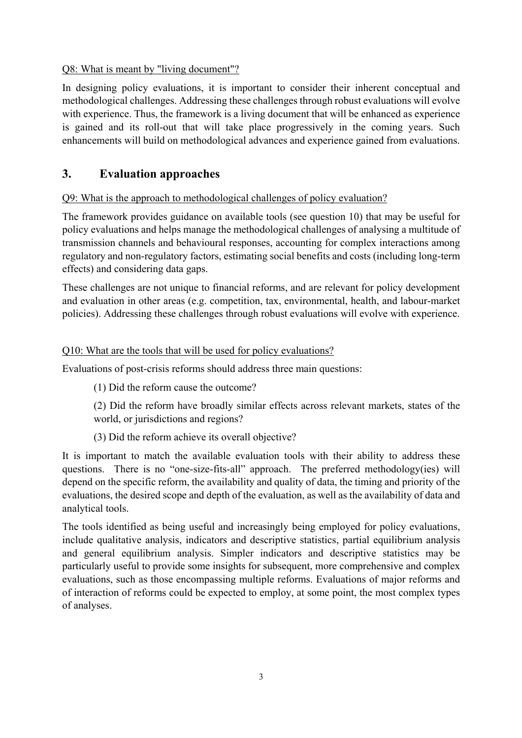#### Q8: What is meant by "living document"?

In designing policy evaluations, it is important to consider their inherent conceptual and methodological challenges. Addressing these challenges through robust evaluations will evolve with experience. Thus, the framework is a living document that will be enhanced as experience is gained and its roll-out that will take place progressively in the coming years. Such enhancements will build on methodological advances and experience gained from evaluations.

## **3. Evaluation approaches**

#### Q9: What is the approach to methodological challenges of policy evaluation?

The framework provides guidance on available tools (see question 10) that may be useful for policy evaluations and helps manage the methodological challenges of analysing a multitude of transmission channels and behavioural responses, accounting for complex interactions among regulatory and non-regulatory factors, estimating social benefits and costs (including long-term effects) and considering data gaps.

These challenges are not unique to financial reforms, and are relevant for policy development and evaluation in other areas (e.g. competition, tax, environmental, health, and labour-market policies). Addressing these challenges through robust evaluations will evolve with experience.

#### Q10: What are the tools that will be used for policy evaluations?

Evaluations of post-crisis reforms should address three main questions:

(1) Did the reform cause the outcome?

(2) Did the reform have broadly similar effects across relevant markets, states of the world, or jurisdictions and regions?

(3) Did the reform achieve its overall objective?

It is important to match the available evaluation tools with their ability to address these questions. There is no "one-size-fits-all" approach. The preferred methodology(ies) will depend on the specific reform, the availability and quality of data, the timing and priority of the evaluations, the desired scope and depth of the evaluation, as well as the availability of data and analytical tools.

The tools identified as being useful and increasingly being employed for policy evaluations, include qualitative analysis, indicators and descriptive statistics, partial equilibrium analysis and general equilibrium analysis. Simpler indicators and descriptive statistics may be particularly useful to provide some insights for subsequent, more comprehensive and complex evaluations, such as those encompassing multiple reforms. Evaluations of major reforms and of interaction of reforms could be expected to employ, at some point, the most complex types of analyses.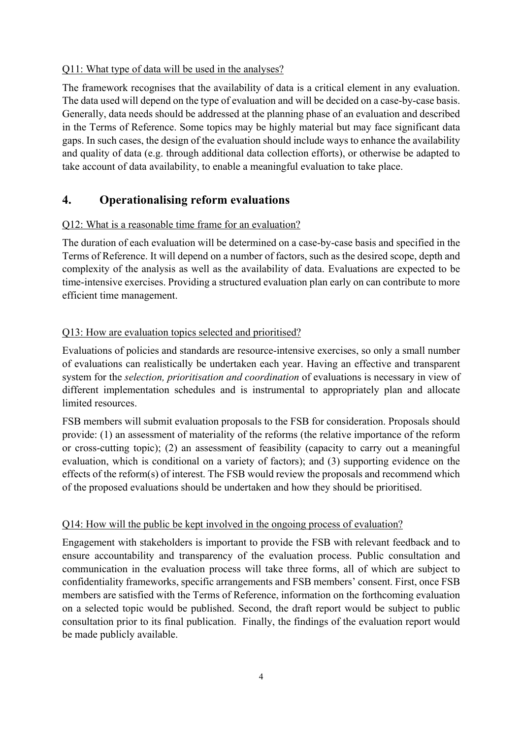#### Q11: What type of data will be used in the analyses?

The framework recognises that the availability of data is a critical element in any evaluation. The data used will depend on the type of evaluation and will be decided on a case-by-case basis. Generally, data needs should be addressed at the planning phase of an evaluation and described in the Terms of Reference. Some topics may be highly material but may face significant data gaps. In such cases, the design of the evaluation should include ways to enhance the availability and quality of data (e.g. through additional data collection efforts), or otherwise be adapted to take account of data availability, to enable a meaningful evaluation to take place.

## **4. Operationalising reform evaluations**

#### Q12: What is a reasonable time frame for an evaluation?

The duration of each evaluation will be determined on a case-by-case basis and specified in the Terms of Reference. It will depend on a number of factors, such as the desired scope, depth and complexity of the analysis as well as the availability of data. Evaluations are expected to be time-intensive exercises. Providing a structured evaluation plan early on can contribute to more efficient time management.

#### Q13: How are evaluation topics selected and prioritised?

Evaluations of policies and standards are resource-intensive exercises, so only a small number of evaluations can realistically be undertaken each year. Having an effective and transparent system for the *selection, prioritisation and coordination* of evaluations is necessary in view of different implementation schedules and is instrumental to appropriately plan and allocate limited resources.

FSB members will submit evaluation proposals to the FSB for consideration. Proposals should provide: (1) an assessment of materiality of the reforms (the relative importance of the reform or cross-cutting topic); (2) an assessment of feasibility (capacity to carry out a meaningful evaluation, which is conditional on a variety of factors); and (3) supporting evidence on the effects of the reform(s) of interest. The FSB would review the proposals and recommend which of the proposed evaluations should be undertaken and how they should be prioritised.

#### Q14: How will the public be kept involved in the ongoing process of evaluation?

Engagement with stakeholders is important to provide the FSB with relevant feedback and to ensure accountability and transparency of the evaluation process. Public consultation and communication in the evaluation process will take three forms, all of which are subject to confidentiality frameworks, specific arrangements and FSB members' consent. First, once FSB members are satisfied with the Terms of Reference, information on the forthcoming evaluation on a selected topic would be published. Second, the draft report would be subject to public consultation prior to its final publication. Finally, the findings of the evaluation report would be made publicly available.